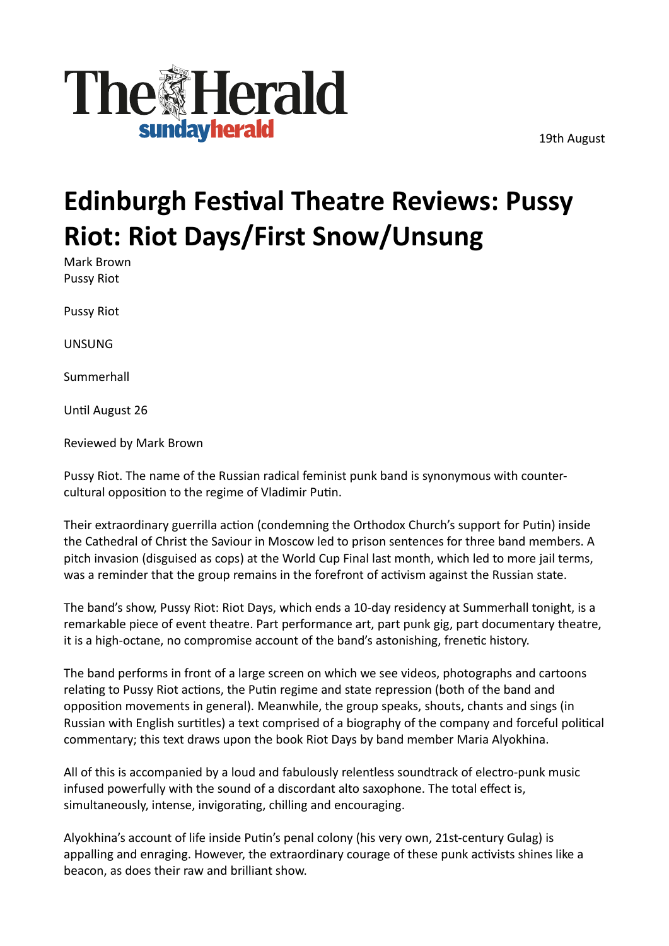19th August



## **Edinburgh Festival Theatre Reviews: Pussy Riot: Riot Days/First Snow/Unsung**

Mark Brown Pussy Riot

Pussy Riot

UNSUNG

Summerhall

Until August 26

Reviewed by Mark Brown

Pussy Riot. The name of the Russian radical feminist punk band is synonymous with countercultural opposition to the regime of Vladimir Putin.

Their extraordinary guerrilla action (condemning the Orthodox Church's support for Putin) inside the Cathedral of Christ the Saviour in Moscow led to prison sentences for three band members. A pitch invasion (disguised as cops) at the World Cup Final last month, which led to more jail terms, was a reminder that the group remains in the forefront of activism against the Russian state.

The band's show, Pussy Riot: Riot Days, which ends a 10-day residency at Summerhall tonight, is a remarkable piece of event theatre. Part performance art, part punk gig, part documentary theatre, it is a high-octane, no compromise account of the band's astonishing, frenetic history.

The band performs in front of a large screen on which we see videos, photographs and cartoons relating to Pussy Riot actions, the Putin regime and state repression (both of the band and opposition movements in general). Meanwhile, the group speaks, shouts, chants and sings (in Russian with English surtitles) a text comprised of a biography of the company and forceful political commentary; this text draws upon the book Riot Days by band member Maria Alyokhina.

All of this is accompanied by a loud and fabulously relentless soundtrack of electro-punk music infused powerfully with the sound of a discordant alto saxophone. The total efect is, simultaneously, intense, invigorating, chilling and encouraging.

Alyokhina's account of life inside Putin's penal colony (his very own, 21st-century Gulag) is appalling and enraging. However, the extraordinary courage of these punk activists shines like a beacon, as does their raw and brilliant show.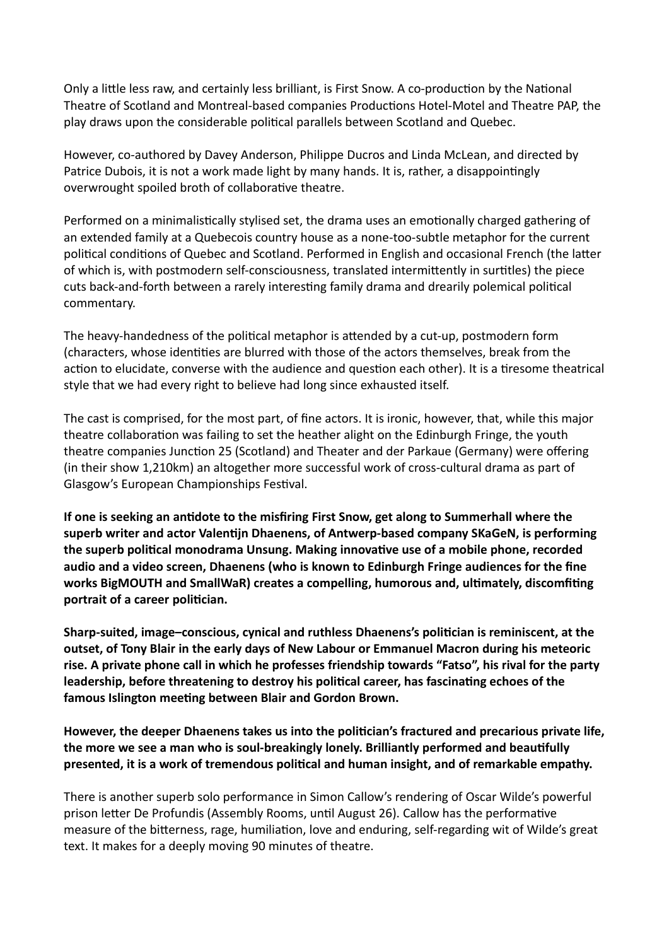Only a litle less raw, and certainly less brilliant, is First Snow. A co-production by the National Theatre of Scotland and Montreal-based companies Productions Hotel-Motel and Theatre PAP, the play draws upon the considerable political parallels between Scotland and Quebec.

However, co-authored by Davey Anderson, Philippe Ducros and Linda McLean, and directed by Patrice Dubois, it is not a work made light by many hands. It is, rather, a disappointingly overwrought spoiled broth of collaborative theatre.

Performed on a minimalistically stylised set, the drama uses an emotionally charged gathering of an extended family at a Quebecois country house as a none-too-subtle metaphor for the current political conditions of Quebec and Scotland. Performed in English and occasional French (the later of which is, with postmodern self-consciousness, translated intermittently in surtitles) the piece cuts back-and-forth between a rarely interesting family drama and drearily polemical political commentary.

The heavy-handedness of the political metaphor is atended by a cut-up, postmodern form (characters, whose identities are blurred with those of the actors themselves, break from the action to elucidate, converse with the audience and question each other). It is a tiresome theatrical style that we had every right to believe had long since exhausted itself.

The cast is comprised, for the most part, of fne actors. It is ironic, however, that, while this major theatre collaboration was failing to set the heather alight on the Edinburgh Fringe, the youth theatre companies Junction 25 (Scotland) and Theater and der Parkaue (Germany) were offering (in their show 1,210km) an altogether more successful work of cross-cultural drama as part of Glasgow's European Championships Festival.

**If one is seeking an antdote to the misfring First Snow, get along to Summerhall where the**  superb writer and actor Valentijn Dhaenens, of Antwerp-based company SKaGeN, is performing the superb political monodrama Unsung. Making innovative use of a mobile phone, recorded **audio and a iideo screen, Dhaenens (who is known to Edinburgh Fringe audiences for the fne**  works BigMOUTH and SmallWaR) creates a compelling, humorous and, ultimately, discomfiting portrait of a career politician.

**Sharp-suited, image–conscious, cynical and ruthless Dhaenens's politcian is reminiscent, at the outset, of Tony Blair in the early days of New Labour or Emmanuel Macron during his meteoric**  rise. A private phone call in which he professes friendship towards "Fatso", his rival for the party leadership, before threatening to destroy his political career, has fascinating echoes of the **famous Islington meetng between Blair and Gordon Brown.**

However, the deeper Dhaenens takes us into the politician's fractured and precarious private life, **the more we see a man who is soul-breakingly lonely. Brilliantly performed and beautfully presented, it is a work of tremendous politcal and human insight, and of remarkable empathy.**

There is another superb solo performance in Simon Callow's rendering of Oscar Wilde's powerful prison letter De Profundis (Assembly Rooms, until August 26). Callow has the performative measure of the biterness, rage, humiliation, love and enduring, self-regarding wit of Wilde's great text. It makes for a deeply moving 90 minutes of theatre.